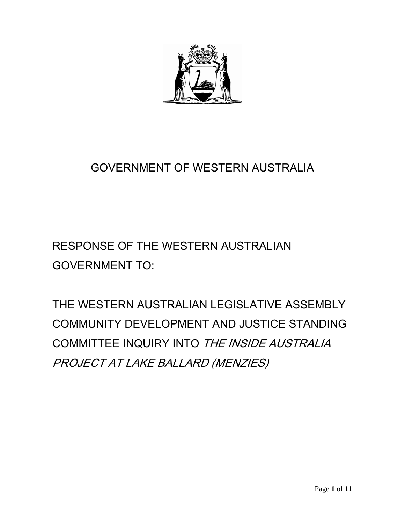

# GOVERNMENT OF WESTERN AUSTRALIA

# RESPONSE OF THE WESTERN AUSTRALIAN GOVERNMENT TO:

THE WESTERN AUSTRALIAN LEGISLATIVE ASSEMBLY COMMUNITY DEVELOPMENT AND JUSTICE STANDING COMMITTEE INQUIRY INTO THE INSIDE AUSTRALIA PROJECT AT LAKE BALLARD (MENZIES)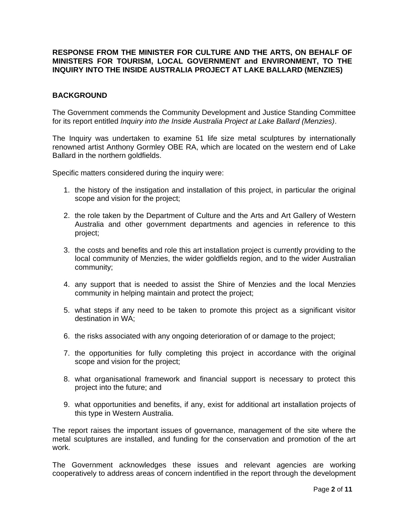# **RESPONSE FROM THE MINISTER FOR CULTURE AND THE ARTS, ON BEHALF OF MINISTERS FOR TOURISM, LOCAL GOVERNMENT and ENVIRONMENT, TO THE INQUIRY INTO THE INSIDE AUSTRALIA PROJECT AT LAKE BALLARD (MENZIES)**

# **BACKGROUND**

The Government commends the Community Development and Justice Standing Committee for its report entitled *Inquiry into the Inside Australia Project at Lake Ballard (Menzies)*.

The Inquiry was undertaken to examine 51 life size metal sculptures by internationally renowned artist Anthony Gormley OBE RA, which are located on the western end of Lake Ballard in the northern goldfields.

Specific matters considered during the inquiry were:

- 1. the history of the instigation and installation of this project, in particular the original scope and vision for the project;
- 2. the role taken by the Department of Culture and the Arts and Art Gallery of Western Australia and other government departments and agencies in reference to this project;
- 3. the costs and benefits and role this art installation project is currently providing to the local community of Menzies, the wider goldfields region, and to the wider Australian community;
- 4. any support that is needed to assist the Shire of Menzies and the local Menzies community in helping maintain and protect the project;
- 5. what steps if any need to be taken to promote this project as a significant visitor destination in WA;
- 6. the risks associated with any ongoing deterioration of or damage to the project;
- 7. the opportunities for fully completing this project in accordance with the original scope and vision for the project;
- 8. what organisational framework and financial support is necessary to protect this project into the future; and
- 9. what opportunities and benefits, if any, exist for additional art installation projects of this type in Western Australia.

The report raises the important issues of governance, management of the site where the metal sculptures are installed, and funding for the conservation and promotion of the art work.

The Government acknowledges these issues and relevant agencies are working cooperatively to address areas of concern indentified in the report through the development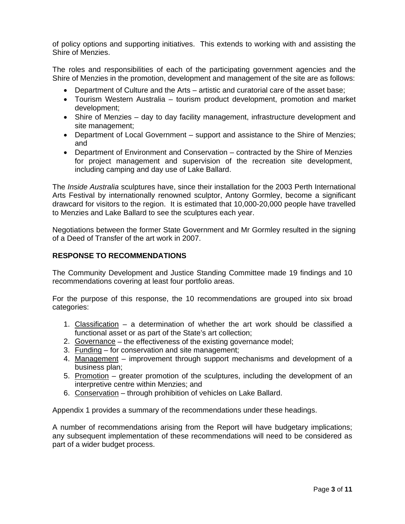of policy options and supporting initiatives. This extends to working with and assisting the Shire of Menzies.

The roles and responsibilities of each of the participating government agencies and the Shire of Menzies in the promotion, development and management of the site are as follows:

- Department of Culture and the Arts artistic and curatorial care of the asset base;
- Tourism Western Australia tourism product development, promotion and market development;
- Shire of Menzies day to day facility management, infrastructure development and site management;
- Department of Local Government support and assistance to the Shire of Menzies; and
- Department of Environment and Conservation contracted by the Shire of Menzies for project management and supervision of the recreation site development, including camping and day use of Lake Ballard.

The *Inside Australia* sculptures have, since their installation for the 2003 Perth International Arts Festival by internationally renowned sculptor, Antony Gormley, become a significant drawcard for visitors to the region. It is estimated that 10,000-20,000 people have travelled to Menzies and Lake Ballard to see the sculptures each year.

Negotiations between the former State Government and Mr Gormley resulted in the signing of a Deed of Transfer of the art work in 2007.

# **RESPONSE TO RECOMMENDATIONS**

The Community Development and Justice Standing Committee made 19 findings and 10 recommendations covering at least four portfolio areas.

For the purpose of this response, the 10 recommendations are grouped into six broad categories:

- 1. Classification a determination of whether the art work should be classified a functional asset or as part of the State's art collection;
- 2. Governance the effectiveness of the existing governance model;
- 3. Funding for conservation and site management;
- 4. Management improvement through support mechanisms and development of a business plan;
- 5. Promotion greater promotion of the sculptures, including the development of an interpretive centre within Menzies; and
- 6. Conservation through prohibition of vehicles on Lake Ballard.

Appendix 1 provides a summary of the recommendations under these headings.

A number of recommendations arising from the Report will have budgetary implications; any subsequent implementation of these recommendations will need to be considered as part of a wider budget process.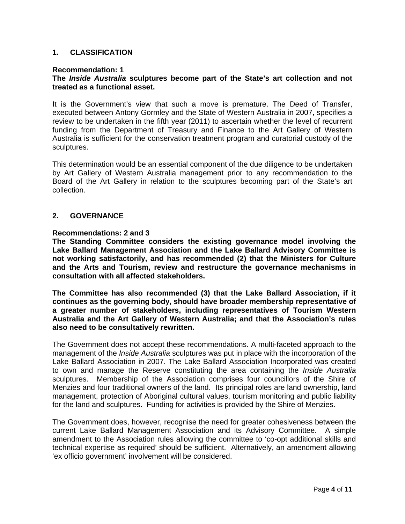# **1. CLASSIFICATION**

#### **Recommendation: 1**

# **The** *Inside Australia* **sculptures become part of the State's art collection and not treated as a functional asset.**

It is the Government's view that such a move is premature. The Deed of Transfer, executed between Antony Gormley and the State of Western Australia in 2007, specifies a review to be undertaken in the fifth year (2011) to ascertain whether the level of recurrent funding from the Department of Treasury and Finance to the Art Gallery of Western Australia is sufficient for the conservation treatment program and curatorial custody of the sculptures.

This determination would be an essential component of the due diligence to be undertaken by Art Gallery of Western Australia management prior to any recommendation to the Board of the Art Gallery in relation to the sculptures becoming part of the State's art collection.

# **2. GOVERNANCE**

#### **Recommendations: 2 and 3**

**The Standing Committee considers the existing governance model involving the Lake Ballard Management Association and the Lake Ballard Advisory Committee is not working satisfactorily, and has recommended (2) that the Ministers for Culture and the Arts and Tourism, review and restructure the governance mechanisms in consultation with all affected stakeholders.** 

**The Committee has also recommended (3) that the Lake Ballard Association, if it continues as the governing body, should have broader membership representative of a greater number of stakeholders, including representatives of Tourism Western Australia and the Art Gallery of Western Australia; and that the Association's rules also need to be consultatively rewritten.** 

The Government does not accept these recommendations. A multi-faceted approach to the management of the *Inside Australia* sculptures was put in place with the incorporation of the Lake Ballard Association in 2007. The Lake Ballard Association Incorporated was created to own and manage the Reserve constituting the area containing the *Inside Australia* sculptures. Membership of the Association comprises four councillors of the Shire of Menzies and four traditional owners of the land. Its principal roles are land ownership, land management, protection of Aboriginal cultural values, tourism monitoring and public liability for the land and sculptures. Funding for activities is provided by the Shire of Menzies.

The Government does, however, recognise the need for greater cohesiveness between the current Lake Ballard Management Association and its Advisory Committee. A simple amendment to the Association rules allowing the committee to 'co-opt additional skills and technical expertise as required' should be sufficient. Alternatively, an amendment allowing 'ex officio government' involvement will be considered.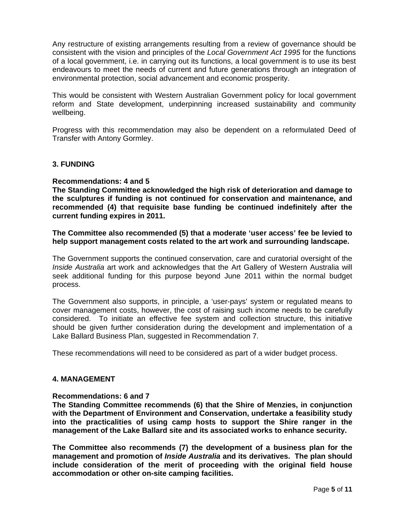Any restructure of existing arrangements resulting from a review of governance should be consistent with the vision and principles of the *Local Government Act 1995* for the functions of a local government, i.e. in carrying out its functions, a local government is to use its best endeavours to meet the needs of current and future generations through an integration of environmental protection, social advancement and economic prosperity.

This would be consistent with Western Australian Government policy for local government reform and State development, underpinning increased sustainability and community wellbeing.

Progress with this recommendation may also be dependent on a reformulated Deed of Transfer with Antony Gormley.

#### **3. FUNDING**

#### **Recommendations: 4 and 5**

**The Standing Committee acknowledged the high risk of deterioration and damage to the sculptures if funding is not continued for conservation and maintenance, and recommended (4) that requisite base funding be continued indefinitely after the current funding expires in 2011.** 

### **The Committee also recommended (5) that a moderate 'user access' fee be levied to help support management costs related to the art work and surrounding landscape.**

The Government supports the continued conservation, care and curatorial oversight of the *Inside Australia* art work and acknowledges that the Art Gallery of Western Australia will seek additional funding for this purpose beyond June 2011 within the normal budget process.

The Government also supports, in principle, a 'user-pays' system or regulated means to cover management costs, however, the cost of raising such income needs to be carefully considered. To initiate an effective fee system and collection structure, this initiative should be given further consideration during the development and implementation of a Lake Ballard Business Plan, suggested in Recommendation 7.

These recommendations will need to be considered as part of a wider budget process.

# **4. MANAGEMENT**

#### **Recommendations: 6 and 7**

**The Standing Committee recommends (6) that the Shire of Menzies, in conjunction with the Department of Environment and Conservation, undertake a feasibility study into the practicalities of using camp hosts to support the Shire ranger in the management of the Lake Ballard site and its associated works to enhance security.** 

**The Committee also recommends (7) the development of a business plan for the management and promotion of** *Inside Australia* **and its derivatives. The plan should include consideration of the merit of proceeding with the original field house accommodation or other on-site camping facilities.**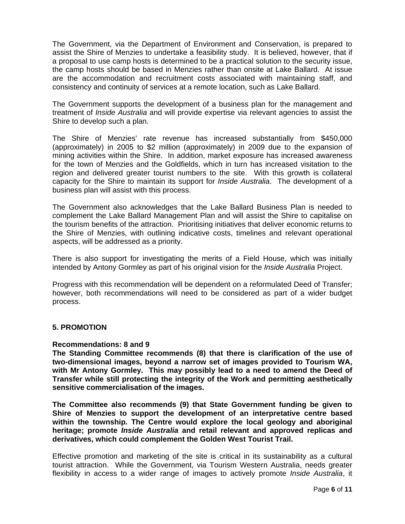The Government, via the Department of Environment and Conservation, is prepared to assist the Shire of Menzies to undertake a feasibility study. It is believed, however, that if a proposal to use camp hosts is determined to be a practical solution to the security issue, the camp hosts should be based in Menzies rather than onsite at Lake Ballard. At issue are the accommodation and recruitment costs associated with maintaining staff, and consistency and continuity of services at a remote location, such as Lake Ballard.

The Government supports the development of a business plan for the management and treatment of *Inside Australia* and will provide expertise via relevant agencies to assist the Shire to develop such a plan.

The Shire of Menzies' rate revenue has increased substantially from \$450,000 (approximately) in 2005 to \$2 million (approximately) in 2009 due to the expansion of mining activities within the Shire. In addition, market exposure has increased awareness for the town of Menzies and the Goldfields, which in turn has increased visitation to the region and delivered greater tourist numbers to the site. With this growth is collateral capacity for the Shire to maintain its support for *Inside Australia*. The development of a business plan will assist with this process.

The Government also acknowledges that the Lake Ballard Business Plan is needed to complement the Lake Ballard Management Plan and will assist the Shire to capitalise on the tourism benefits of the attraction. Prioritising initiatives that deliver economic returns to the Shire of Menzies, with outlining indicative costs, timelines and relevant operational aspects, will be addressed as a priority.

There is also support for investigating the merits of a Field House, which was initially intended by Antony Gormley as part of his original vision for the *Inside Australia* Project.

Progress with this recommendation will be dependent on a reformulated Deed of Transfer; however, both recommendations will need to be considered as part of a wider budget process.

# **5. PROMOTION**

#### **Recommendations: 8 and 9**

**The Standing Committee recommends (8) that there is clarification of the use of two-dimensional images, beyond a narrow set of images provided to Tourism WA, with Mr Antony Gormley. This may possibly lead to a need to amend the Deed of Transfer while still protecting the integrity of the Work and permitting aesthetically sensitive commercialisation of the images.** 

**The Committee also recommends (9) that State Government funding be given to Shire of Menzies to support the development of an interpretative centre based within the township. The Centre would explore the local geology and aboriginal heritage; promote** *Inside Australia* **and retail relevant and approved replicas and derivatives, which could complement the Golden West Tourist Trail.** 

Effective promotion and marketing of the site is critical in its sustainability as a cultural tourist attraction. While the Government, via Tourism Western Australia, needs greater flexibility in access to a wider range of images to actively promote *Inside Australia*, it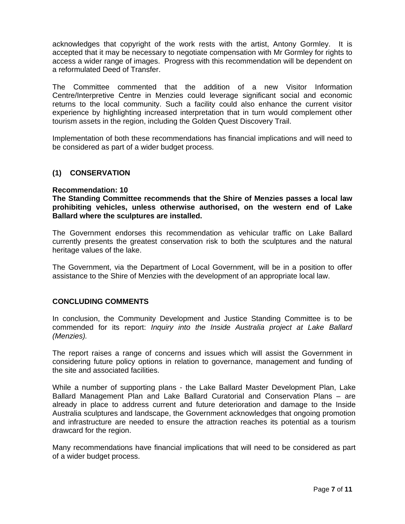acknowledges that copyright of the work rests with the artist, Antony Gormley. It is accepted that it may be necessary to negotiate compensation with Mr Gormley for rights to access a wider range of images. Progress with this recommendation will be dependent on a reformulated Deed of Transfer.

The Committee commented that the addition of a new Visitor Information Centre/Interpretive Centre in Menzies could leverage significant social and economic returns to the local community. Such a facility could also enhance the current visitor experience by highlighting increased interpretation that in turn would complement other tourism assets in the region, including the Golden Quest Discovery Trail.

Implementation of both these recommendations has financial implications and will need to be considered as part of a wider budget process.

# **(1) CONSERVATION**

#### **Recommendation: 10**

# **The Standing Committee recommends that the Shire of Menzies passes a local law prohibiting vehicles, unless otherwise authorised, on the western end of Lake Ballard where the sculptures are installed.**

The Government endorses this recommendation as vehicular traffic on Lake Ballard currently presents the greatest conservation risk to both the sculptures and the natural heritage values of the lake.

The Government, via the Department of Local Government, will be in a position to offer assistance to the Shire of Menzies with the development of an appropriate local law.

#### **CONCLUDING COMMENTS**

In conclusion, the Community Development and Justice Standing Committee is to be commended for its report: *Inquiry into the Inside Australia project at Lake Ballard (Menzies).* 

The report raises a range of concerns and issues which will assist the Government in considering future policy options in relation to governance, management and funding of the site and associated facilities.

While a number of supporting plans - the Lake Ballard Master Development Plan, Lake Ballard Management Plan and Lake Ballard Curatorial and Conservation Plans – are already in place to address current and future deterioration and damage to the Inside Australia sculptures and landscape, the Government acknowledges that ongoing promotion and infrastructure are needed to ensure the attraction reaches its potential as a tourism drawcard for the region.

Many recommendations have financial implications that will need to be considered as part of a wider budget process.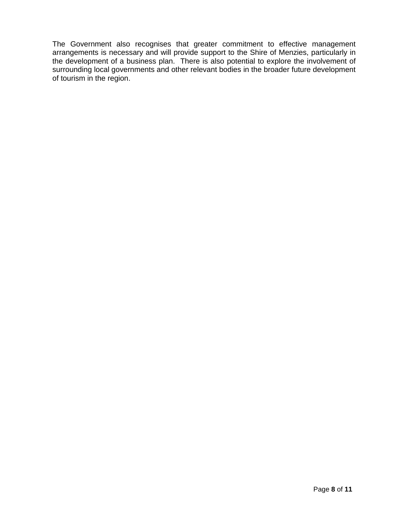The Government also recognises that greater commitment to effective management arrangements is necessary and will provide support to the Shire of Menzies, particularly in the development of a business plan. There is also potential to explore the involvement of surrounding local governments and other relevant bodies in the broader future development of tourism in the region.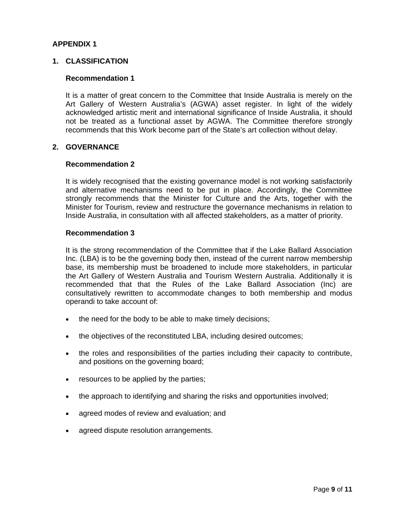# **APPENDIX 1**

# **1. CLASSIFICATION**

### **Recommendation 1**

 It is a matter of great concern to the Committee that Inside Australia is merely on the Art Gallery of Western Australia's (AGWA) asset register. In light of the widely acknowledged artistic merit and international significance of Inside Australia, it should not be treated as a functional asset by AGWA. The Committee therefore strongly recommends that this Work become part of the State's art collection without delay.

# **2. GOVERNANCE**

#### **Recommendation 2**

 It is widely recognised that the existing governance model is not working satisfactorily and alternative mechanisms need to be put in place. Accordingly, the Committee strongly recommends that the Minister for Culture and the Arts, together with the Minister for Tourism, review and restructure the governance mechanisms in relation to Inside Australia, in consultation with all affected stakeholders, as a matter of priority.

#### **Recommendation 3**

 It is the strong recommendation of the Committee that if the Lake Ballard Association Inc. (LBA) is to be the governing body then, instead of the current narrow membership base, its membership must be broadened to include more stakeholders, in particular the Art Gallery of Western Australia and Tourism Western Australia. Additionally it is recommended that that the Rules of the Lake Ballard Association (Inc) are consultatively rewritten to accommodate changes to both membership and modus operandi to take account of:

- the need for the body to be able to make timely decisions;
- the objectives of the reconstituted LBA, including desired outcomes;
- the roles and responsibilities of the parties including their capacity to contribute, and positions on the governing board;
- resources to be applied by the parties;
- the approach to identifying and sharing the risks and opportunities involved;
- agreed modes of review and evaluation; and
- agreed dispute resolution arrangements.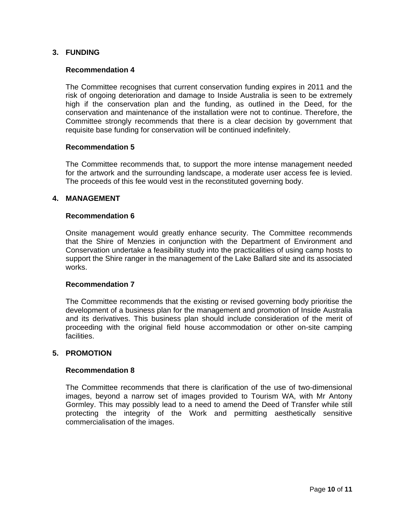# **3. FUNDING**

# **Recommendation 4**

 The Committee recognises that current conservation funding expires in 2011 and the risk of ongoing deterioration and damage to Inside Australia is seen to be extremely high if the conservation plan and the funding, as outlined in the Deed, for the conservation and maintenance of the installation were not to continue. Therefore, the Committee strongly recommends that there is a clear decision by government that requisite base funding for conservation will be continued indefinitely.

#### **Recommendation 5**

 The Committee recommends that, to support the more intense management needed for the artwork and the surrounding landscape, a moderate user access fee is levied. The proceeds of this fee would vest in the reconstituted governing body.

# **4. MANAGEMENT**

# **Recommendation 6**

 Onsite management would greatly enhance security. The Committee recommends that the Shire of Menzies in conjunction with the Department of Environment and Conservation undertake a feasibility study into the practicalities of using camp hosts to support the Shire ranger in the management of the Lake Ballard site and its associated works.

# **Recommendation 7**

 The Committee recommends that the existing or revised governing body prioritise the development of a business plan for the management and promotion of Inside Australia and its derivatives. This business plan should include consideration of the merit of proceeding with the original field house accommodation or other on-site camping facilities.

# **5. PROMOTION**

#### **Recommendation 8**

The Committee recommends that there is clarification of the use of two-dimensional images, beyond a narrow set of images provided to Tourism WA, with Mr Antony Gormley. This may possibly lead to a need to amend the Deed of Transfer while still protecting the integrity of the Work and permitting aesthetically sensitive commercialisation of the images.